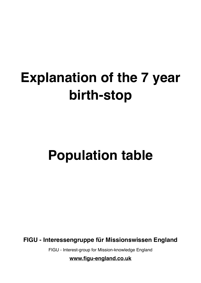# **Explanation of the 7 year birth-stop**

# **Population table**

**FIGU - Interessengruppe für Missionswissen England**

FIGU - Interest-group for Mission-knowledge England

**[www.figu-england.co.uk](http://www.figu-england.co.uk)**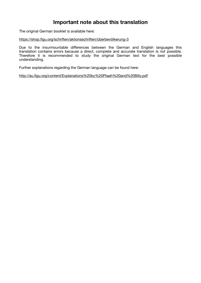# **Important note about this translation**

The original German booklet is available here:

[https://shop.figu.org/schriften/aktionsschriften/überbevölkerung-3](https://shop.figu.org/schriften/aktionsschriften/%C3%BCberbev%C3%B6lkerung-3)

Due to the insurmountable differences between the German and English languages this translation contains errors because a direct, complete and accurate translation is not possible. Therefore it is recommended to study the original German text for the best possible understanding.

Further explanations regarding the German language can be found here:

<http://au.figu.org/content/Explanations%20by%20Ptaah%20and%20Billy.pdf>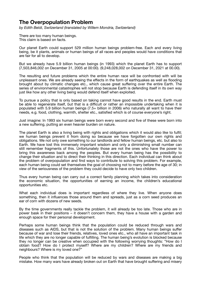## **The Overpopulation Problem**

*by Edith Beldi, Switzerland (translated by Willem Mondria, Switzerland)* 

There are too many human beings. This claim is based on facts.

Our planet Earth could support 529 million human beings problem-free. Each and every living being, be it plants, animals or human beings of all races and peoples would have conditions that are fair for all to develop.

But we already have 5.9 billion human beings (in 1993) which the planet Earth has to support (7,503,846,002 on December 31, 2005 at 00:00). (9,248,028,002 on December 31, 2021 at 00.00).

The resulting and future problems which the entire human race will be confronted with will be unpleasant ones. We are already seeing the effects in the form of earthquakes as well as flooding brought about by climatic changes etc., which cause great suffering over the entire Earth. The series of environmental catastrophes will not stop because Earth is defending itself in its own way just like how any other living being would defend itself when exploited.

To pursue a policy that is only based on taking cannot have good results in the end. Earth must be able to regenerate itself, but that is a difficult or rather an impossible undertaking when it is populated with 5.9 billion human beings (7.5+ billion in 2006) who naturally all want to have their needs, e.g. food, clothing, warmth, shelter etc., satisfied which is of course everyone's right.

Just imagine: In 1993 six human beings were born every second and five of these were born into a new suffering, putting an even heavier burden on nature.

The planet Earth is also a living being with rights and obligations which it would also like to fulfil; we human beings prevent it from doing so because we have forgotten our own rights and obligations. We not only owe something to our landlords and fellow human beings, etc. but also to Earth. We have lost this immensely important wisdom and only a diminishing small number can still remember fragments of this. Unfortunately those are not the ones who have the power to bring this awareness back among the peoples. But every human being has the possibility to change their situation and to direct their thinking in this direction. Each individual can think about the problem of overpopulation and find ways to contribute to solving this problem. For example, each human being could set themselves the goal of choosing not to marry before the age of 30; in view of the seriousness of the problem they could decide to have only two children.

Thus every human being can carry out a correct family planning which takes into consideration the economic situation, the opportunities of earning an income, the children's educational opportunities etc.

What each individual does is important regardless of where they live. When anyone does something, then it influences those around them and spreads, just as a corn seed produces an ear of corn with dozens of new seeds.

By the time governments really tackle the problem, it will already be too late. Those who are in power bask in their positions – it doesn't concern them, they have a house with a garden and enough space for their personal development.

Perhaps some human beings think that the population could be reduced through wars and diseases such as AIDS, but that is not the solution of the problem. Many human beings suffer because of war and lose their friends, relatives, loved ones etc., who all have an important task in life which they are no longer capable of fulfilling. The human being's evolution is blocked because they no longer can be creative when occupied with the following worrying thoughts: "How do I obtain food? How do I protect myself? Where are my children? Where are my friends and neighbours? Where is my loved one?"

People who think that the population will be reduced by wars and diseases are making a big mistake. How many wars have already broken out on Earth that have brought suffering and misery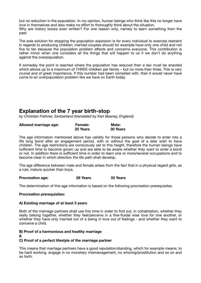but no reduction in the population. In my opinion, human beings who think like this no longer have love in themselves and also make no effort to thoroughly think about the situation. Why are history books even written? For one reason only, namely to learn something from the past.

The sole solution for stopping the population explosion is for every individual to exercise restraint in regards to producing children; married couples should for example have only one child and not five to ten because the population problem affects and concerns everyone. This contribution is rather minor when one considers all the things that will happen to us if we don't do anything against the overpopulation.

If someday the point is reached where the population has reduced then a law must be enacted which allows up to a maximum of THREE children per family – but no more than three. This is very crucial and of great importance. If this number had been complied with, then it would never have come to an overpopulation problem like we have on Earth today.

# **Explanation of the 7 year birth-stop**

*by Christian Frehner, Switzerland (translated by Karl Beaney, England)* 

| Allowed marriage age: | <b>Female:</b> | <b>Male:</b> |
|-----------------------|----------------|--------------|
|                       | 25 Years       | 30 Years     |

The age information mentioned above has validity for those persons who decide to enter into a life long bond after an engagement period, with or without the goal of a later wish to have children. The age restrictions are consciously set to this height, therefore the human beings have sufficient time to become grown up and are able to be aware whether they want to enter a bond or not. In addition there is sufficient time in order to learn one or more/several occupations and to become clear in which direction the life path shall develop.

The age difference between male and female arises from the fact that in a physical regard girls, as a rule, mature quicker than boys.

#### **Procreation age:** 28 Years 33 Years

The determination of this age information is based on the following procreation prerequisites.

## **Procreation prerequisites:**

## **A) Existing marriage of at least 3 years**

Both of the marriage partners shall use this time in order to find out, in cohabitation, whether they really belong together, whether they feel/perceive in a fine-fluidal wise love for one another, or whether they have only married out of a being in love out of feelings - and whether they want to conceive a child.

## **B) Proof of a harmonious and healthy marriage**

## **&**

## **C) Proof of a perfect lifestyle of the marriage partner**

This means that marriage partners have a good reputation/standing, which for example means; to be hard working, engage in no monetary mismanagement, no whoring/prostitution and so on and so forth.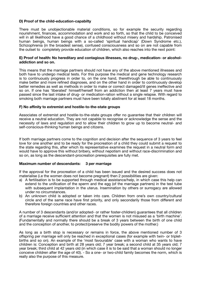#### **D) Proof of the child-education-capabilty**

There must be unobjectionable material conditions, so for example the security regarding nourishment, finances, accommodation and work and so forth, so that the child to be conceived will in all likelihood have a good chance of a childhood without misery and hardship. Patronised human beings, human beings with a so-called 'spiritual handicap' (Down Syndrome etc.), Schizophrenia (in the broadest sense), confused consciousness and so on are not capable from the outset to completely provide education of children, which also reaches into the next point:

#### **E) Proof of health: No hereditary and contagious illnesses, no drug-, medication- or alcoholaddiction and so on.**

This means that the marriage partners should not have any of the above mentioned illnesses and both have to undergo medical tests. For this purpose the medical and gene technology research is to continuously progress in order to, on the one hand, therethrough be able to continuously make better and more refined diagnoses, and on the other hand in order to continuously develop better remedies as well as methods in order to make or correct damaged/ill genes ineffective and so on. If one has 'liberated' himself/herself from an addiction then at least 7 years must have passed since the last intake of drug- or medication-ration without a single relapse. With regard to smoking both marriage partners must have been totally abstinent for at least 18 months.

#### **F) No affinity to extremist and hostile-to-the-state groups**

Associates of extremist and hostile-to-the-state groups offer no guarantee that their children will receive a neutral education. They are not capable to recognise or acknowledge the sense and the necessity of laws and regulation and to allow their children to grow up to become neutral- and self-conscious-thinking human beings and citizens.

If both marriage partners come to the cognition and decision after the sequence of 3 years to feel love for one another and to be ready for the procreation of a child they could submit a request to the state regarding this, after which its representative examines the request in a neutral form and would have to approve this without bribery, without nepotism and without race-discrimination and so on, as long as the descendant-procreation prerequisites are fully met.

#### **Maximum number of descendants: 3 per marriage**

If the approval for the procreation of a child has been issued and the desired success does not materialise (i.e the women does not become pregnant) then 2 possibilities are given:

- a) A fertilisation is to be supported through medical assistance/help, in which case this help can extend to the unification of the sperm and the egg (of the marriage partners) in the test tube with subsequent implantation in the uterus. Insemination by others or surrogacy are allowed under no circumstances.
- b) An unknown child is adopted or taken into care. Children from one's own country/cultural circle and of the same race have first priority, and only secondarily those from different and therefore foreign countries and other races.

A number of 3 descendants (and/or adopted- or rather foster-children) guarantees that all children of a marriage receive sufficient attention and that the women is not misused as a 'birth machine'. (Fundamentally and normally there should be a break of 3 years between the birth of one child and the conception of another, to protect/preserve the bodily powers of the mother.)

As long as a birth stop is necessary or remains in force, the above mentioned number of 3 offspring per marriage will only be reached in exceptional cases (for example with twin- or tripletbirths and so on). An example of the 'most favourable' case with a woman who wants to have children is: Conception and birth at 28 years old; 7 year break; a second child at 35 years old; 7 year break; third child at 42 years old (in which case it is to be said that a woman should no longer conceive children after the age of 40). - So a one- or two-child family becomes the norm, which is really also the purpose of this measure.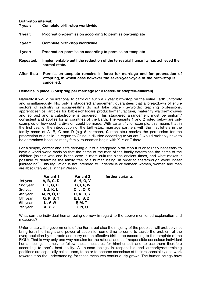#### **Birth-stop interval:**

| 7 year:          | Complete birth-stop worldwide                                                                   |
|------------------|-------------------------------------------------------------------------------------------------|
| 1 year:          | Procreation-permission according to permission-template                                         |
| 7 year:          | Complete birth-stop worldwide                                                                   |
| 1 year:          | Procreation-permission according to permission-template                                         |
| <b>Repeated:</b> | Implementable until the reduction of the terrestrial humanity has achieved the<br>normal-state. |
| Aftar that:      | Dermission template remains in ferge for marriage and fer prescention of                        |

**After that: Permission-template remains in force for marriage and for procreation of**  offspring, in which case however the seven-year-cycle of the birth-stop is **hhhhh hhjjcancelled.** 

#### **Remains in place: 3 offspring per marriage (or 3 foster- or adopted-children).**

Naturally it would be irrational to carry out such a 7 year birth-stop on the entire Earth uniformly and simultaneously. No, only a staggered arrangement guarantees that a breakdown of entire sectors of industry or social-realms do not take place (Keywords: teaching professions, apprenticeships, articles for babies/childcare products-manufacturer, maternity wards/midwives and so on.) and a catastrophe is triggered. This staggered arrangement must be uniform/ consistent and applies for all countries of the Earth. The variants 1 and 2 listed below are only examples of how such a division could be made. With variant 1, for example, this means that in the first year of the introduction of the birth-stop, marriage partners with the first letters in the family name of A, B, C and D (e.g **A**ckermann, **C**linton etc.) receive the permission for the procreation of a child. In regard to China, a division according to variant 2 would probably have to be determined because many family-/surnames begin with X, Y or Z there.

For a simple, correct and safe carrying out of a staggered birth-stop it is absolutely necessary to have a world-world decision that the name of the man of the family determines the name of the children (as this was and is the case in most cultures since ancient times, and what makes it possible to determine the family tree of a human being, in order to therethrough avoid incest [inbreeding]). This regulation is not intended to undervalue or demean women, women and men are absolutely equal in their Wesen.

| <b>Variant 1</b>  | <b>Variant 2</b>  | further variants |
|-------------------|-------------------|------------------|
| A, B, C, D        | A, H, O, V        |                  |
| <b>E, F, G, H</b> | <b>B, I, P, W</b> |                  |
| I, J, K, L        | C, J, Q, X        |                  |
| <b>M, N, O, P</b> | <b>D, K, R, Y</b> |                  |
| Q, R, S, T        | E, L, S, Z        |                  |
| <b>U, V, W</b>    | <b>F, M, T</b>    |                  |
| X, Y, Z           | G, N, U           |                  |
|                   |                   |                  |

What can the individual human being do now in regard to the above mentioned explanation and measures?

Unfortunately, the governments of the Earth, but also the majority of the peoples, will probably not bring forth the insight and power of action for some time to come to tackle the problem of the overpopulation by the roots and carry out an effective birth stop (according to the template of the FIGU). That is why only one way remains for the rational and self-responsible conscious individual human beings, namely to follow these measures for him/her self and to use them therefore according to one's best ability. All human beings in responsible and authority/determining positions are especially called upon, to be or to become conscious of their responsibility and work towards it so the understanding for these measures continuously grows. The human beings have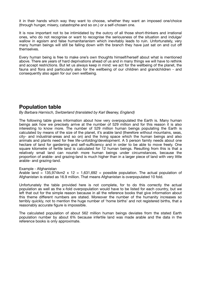it in their hands which way they want to choose, whether they want an imposed one/choice (through hunger, misery, catastrophe and so on.) or a self-chosen one.

It is now important not to be intimidated by the outcry of all those short-thinkers and irrational ones, who do not recognise or want to recognise the seriousness of the situation and indulge/ wallow in egoism and false humanitarianism which inevitably leads to ruin. Unfortunately, very many human beings will still be falling down with the branch they have just sat on and cut off themselves.

Every human being is free to make one's own thoughts himself/herself about what is mentioned above. There are years of hard deprivations ahead of us and in many things we will have to rethink and accept restrictions. But let us always keep in mind: we act for the wellbeing of the planet, the fauna and flora and particularly also for the wellbeing of our children and grandchildren - and consequently also again for our own wellbeing.

## **Population table**

*By Barbara Harnisch, Switzerland (translated by Karl Beaney, England)* 

The following table gives information about how very overpopulated the Earth is. Many human beings ask how we precisely arrive at the number of 529 million and for this reason it is also interesting to know more. The number of 529 million human beings populating the Earth is calculated by means of the size of the planet, it's arable land (therefore without mountains, seas, city- and industrial-areas and so on) and the living space which the human beings and also animals and plants need for free life-unfolding/development. A 5 person family needs about one hectare of land for gardening and self-sufficiency and in order to be able to move freely. One square kilometre of fertile land is calculated for 12 human beings. Resulting from this is that a relatively small land can nourish more human beings under circumstances, because the proportion of arable- and grazing-land is much higher than in a larger piece of land with very little arable- and grazing-land.

## Example - Afghanistan

Arable land = 135,974km2 x 12 = 1,631,692 = possible population. The actual population of Afghanistan is stated as 16.9 million. That means Afghanistan is overpopulated 10 fold.

Unfortunately the table provided here is not complete, for to do this correctly the actual population as well as the x-fold overpopulation would have to be listed for each country, but we left that out for the simple reason because in all the reference books that give information about this theme different numbers are stated. Moreover the number of the humanity increases so terribly quickly, not to mention the huge number of 'home births' and not registered births, that a reasonably accurate figure is impossible.

The calculated population of about 562 million human beings deviates from the stated Earth population number by about 6% because infertile land was made arable and the data in the reference books is only approximate.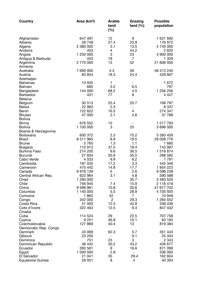| Country                                                                                                                                                                                                                                                                                                           | Area (km <sup>2</sup> )                                                                                                                                                                                     | <b>Arable</b><br>land<br>(%)                                                                                                              | Grazing<br>land $(\%)$                                                                                                                                   | <b>Possible</b><br>population                                                                                                                                                                                                |
|-------------------------------------------------------------------------------------------------------------------------------------------------------------------------------------------------------------------------------------------------------------------------------------------------------------------|-------------------------------------------------------------------------------------------------------------------------------------------------------------------------------------------------------------|-------------------------------------------------------------------------------------------------------------------------------------------|----------------------------------------------------------------------------------------------------------------------------------------------------------|------------------------------------------------------------------------------------------------------------------------------------------------------------------------------------------------------------------------------|
| Afghanistan<br>Albania<br>Algeria<br>Andorra<br>Angola<br>Antigua & Barbuda<br>Argentina<br>Armenia                                                                                                                                                                                                               | 647 497<br>28748<br>2 380 000<br>453<br>1 250 000<br>453<br>2770000                                                                                                                                         | 12<br>27.4<br>3.1<br>4<br>3<br>18<br>13                                                                                                   | 9<br>23.9<br>13.5<br>44.2<br>23<br>$\overline{7}$<br>52                                                                                                  | 1 631 692<br>176 972<br>4 740 000<br>2 6 2 0<br>3 900 000<br>1 3 2 9<br>21 606 000                                                                                                                                           |
| Australia<br>Austria<br>Azerbaijan                                                                                                                                                                                                                                                                                | 7 690 000<br>83 854                                                                                                                                                                                         | 4.3<br>18.3                                                                                                                               | 59<br>24.4                                                                                                                                               | 58 413 240<br>429 667                                                                                                                                                                                                        |
| <b>Bahamas</b><br><b>Bahrain</b><br>Bangladesh<br><b>Barbados</b>                                                                                                                                                                                                                                                 | 13 935<br>685<br>144 000<br>431                                                                                                                                                                             | 1<br>3.2<br>68.2<br>77                                                                                                                    | 6.5<br>4.5<br>9                                                                                                                                          | 1 672<br>797<br>1 256 256<br>4 4 4 7                                                                                                                                                                                         |
| <b>Belarus</b><br>Belgium<br><b>Belize</b><br><b>Benin</b><br><b>Bhutan</b>                                                                                                                                                                                                                                       | 30 513<br>22 963<br>122 622<br>47 000                                                                                                                                                                       | 25.4<br>2.3<br>16.3<br>2.1                                                                                                                | 20.7<br>-<br>$\overline{4}$<br>4.6                                                                                                                       | 168 797<br>6 3 3 7<br>274 347<br>37 788                                                                                                                                                                                      |
| <b>Bolivia</b><br><b>Birma</b><br><b>Bolivia</b>                                                                                                                                                                                                                                                                  | 676 552<br>1 100 000                                                                                                                                                                                        | 15<br>3                                                                                                                                   | 25                                                                                                                                                       | 1 217 793<br>3 696 000                                                                                                                                                                                                       |
| Bosnia & Herzegovina<br><b>Botswana</b><br><b>Brazil</b><br><b>Brunei</b><br><b>Bulgaria</b><br><b>Burkina Faso</b><br><b>Burundi</b><br>Cabo Verde<br>Cambodia<br>Cameroon<br>Canada<br>Central African Rep.<br>Chad<br>Chile<br>China<br>Columbia<br>Comoros<br>Congo<br>Costa Rica<br>Cote d'Ivoire<br>Croatia | 600 372<br>8 511 965<br>5765<br>110912<br>274 200<br>27834<br>4 0 3 3<br>181 035<br>475 442<br>9976139<br>622 984<br>1 280 000<br>756 945<br>9 596 961<br>1 140 000<br>1862<br>342 000<br>51 000<br>322 463 | 2.3<br>8.9<br>1.3<br>37.5<br>9.6<br>50.9<br>9.9<br>17.2<br>14.8<br>5<br>3.1<br>7.4<br>10.8<br>5.5<br>42<br>$\overline{c}$<br>12.5<br>12.5 | 75.2<br>19.5<br>1.1<br>18.4<br>36.5<br>35.5<br>6.2<br>3.3<br>17.7<br>2.6<br>4.8<br>35.7<br>15.9<br>30.6<br>28.9<br>$\overline{7}$<br>29.3<br>42.8<br>9.4 | 5 583 459<br>29 008 776<br>1 660<br>743 997<br>1516874<br>288 582<br>7 7 9 1<br>445 346<br>1854223<br>9 0 98 2 38<br>590 588<br>5 483 520<br>2 116 418<br>47 677 702<br>4705920<br>10 948<br>1 284 552<br>338 436<br>847 432 |
| Cuba<br>Cyprus<br>Czechoslovakia                                                                                                                                                                                                                                                                                  | 114 524<br>9 2 5 1<br>127 869                                                                                                                                                                               | 29<br>46.8<br>40.4                                                                                                                        | 22.5<br>10.1<br>13                                                                                                                                       | 707 758<br>63 165<br>819 384                                                                                                                                                                                                 |
| Democratic Rep. Congo<br>Denmark<br>Djibouti<br>Dominica<br>Dominican Republic<br>Ecuador<br>Egypt<br>El Salvador<br><b>Equatorial Guinea</b>                                                                                                                                                                     | 43 069<br>23 200<br>751<br>48 442<br>283 561<br>1 000 000<br>21 041<br>28 051                                                                                                                               | 62.3<br>$\overline{\phantom{a}}$<br>23<br>30.2<br>9<br>2.8<br>35<br>8                                                                     | 5.7<br>9.1<br>3<br>43.2<br>16.6<br>29.4<br>4                                                                                                             | 351 443<br>25 334<br>2 3 4 3<br>426 677<br>871 099<br>336 000<br>162 604<br>40 393                                                                                                                                           |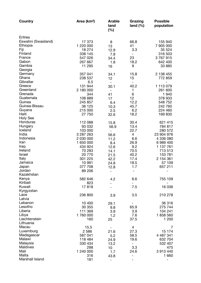| Country                 | Area (km <sup>2</sup> ) | <b>Arable</b><br>land<br>(%) | Grazing<br>land $(\%)$ | <b>Possible</b><br>population |
|-------------------------|-------------------------|------------------------------|------------------------|-------------------------------|
| Eritrea                 |                         |                              |                        |                               |
| Eswatini (Swasiland)    | 17 373                  | 8                            | 66.8                   | 155 940                       |
| Ethiopia                | 1 220 000               | 13                           | 41                     | 7 905 000                     |
| Fiji                    | 18 274                  | 12.9                         | 3.3                    | 35 5 24                       |
| Finland                 | 338 145                 | 7.8                          |                        | 316 503                       |
| France                  | 547 026                 | 34.4                         | 23                     | 3767915                       |
| Gabon<br>Gambia         | 267 667<br>11 295       | 1.8                          | 18.2                   | 642 400<br>33 885             |
| Georgia                 |                         | 16                           | 9                      |                               |
| Germany                 | 357 041                 | 34.1                         | 15.8                   | 2 138 455                     |
| Ghana                   | 238 537                 | 12                           | 15                     | 772 859                       |
| Gibraltar               | 6.5                     | $\overline{\phantom{a}}$     |                        |                               |
| Greece                  | 131 944                 | 30.1                         | 40.2                   | 1 113 079                     |
| Greenland               | 2 180 000               | $\overline{\phantom{a}}$     | 1                      | 261 600                       |
| Grenada                 | 344                     | 41                           | 6                      | 1940                          |
| Guatemala               | 108 889                 | 17                           | 12                     | 378 933                       |
| Guinea<br>Guinea-Bissau | 245 857                 | 6.4                          | 12.2                   | 548 752                       |
| Guyana                  | 36 125<br>215 000       | 10.3<br>2.5                  | 45.7<br>6.2            | 242 760<br>224 460            |
| Haiti                   | 27 750                  | 32.6                         | 18.2                   | 169830                        |
| <b>Holy See</b>         |                         |                              |                        |                               |
| Honduras                | 112 088                 | 15.8                         | 30.4                   | 621 415                       |
| Hungary                 | 93 032                  | 56.9                         | 13.4                   | 784 817                       |
| Iceland                 | 103 000                 | $\qquad \qquad -$            | 22.7                   | 280 572                       |
| India                   | 3 287 263               | 56.6                         | 4                      | 23 904 976                    |
| Indonesia               | 2 030 000               | 11.2                         | 6.6                    | 4 336 080                     |
| Iran                    | 1 650 000               | 8.4                          | 26.9                   | 6989400                       |
| Iraq<br>Ireland         | 434 924                 | 12.6                         | 9.2                    | 1 137 761                     |
| Israel                  | 70 283<br>20770         | 14.1                         | 70.5<br>40.2           | 713 513<br>153 781            |
| Italy                   | 301 225                 | 21.5<br>42.2                 | 17.4                   | 2 154 361                     |
| Jamaica                 | 10991                   | 24.8                         | 18.5                   | 57 109                        |
| Japan                   | 377 708                 | 12.8                         | 1.7                    | 657 211                       |
| Jordan                  | 89 206                  | $\overline{\phantom{a}}$     |                        |                               |
| Kazakhstan              |                         |                              |                        |                               |
| Kenya                   | 582 646                 | 4.2                          | 6.6                    | 755 109                       |
| Kiribati                | 823                     |                              |                        |                               |
| Kuwait                  | 17818                   |                              | 7.5                    | 16 036                        |
| Kyrgyzstan<br>Laos      | 236 800                 |                              |                        | 210 278                       |
| Latvia                  |                         | 3.9                          | 3.5                    |                               |
| Lebanon                 | 10 400                  | 29.1                         |                        | 36 316                        |
| Lesotho                 | 30 355                  | 9.8                          | 65.9                   | 275 744                       |
| Liberia                 | 111 369                 | 3.9                          | 3.9                    | 104 241                       |
| Libya                   | 1760000                 | 1.2                          | 7.6                    | 1858 560                      |
| Liechtenstein           | 160                     | 25                           | 37.5                   | 1 200                         |
| Lithuania               |                         |                              |                        |                               |
| Macau                   | 15.5                    |                              | 4                      | 7                             |
| Luxemburg               | 2 5 8 6                 | 21.6                         | 27.3                   | 15 174                        |
| Madagascar<br>Malawi    | 587 041<br>118 484      | 5.2<br>24.9                  | 58.5<br>19.6           | 4 487 341<br>632 704          |
| Malaysia                | 330 434                 | 13.2                         |                        | 532 407                       |
| Maldives                | 298                     | 10                           | 3.3                    | 475                           |
| Mali                    | 1 240 000               | 1.7                          | 24.6                   | 3913440                       |
| Malta                   | 316                     | 43.8                         |                        | 1 6 6 0                       |
| Marshall Island         | 181                     |                              |                        |                               |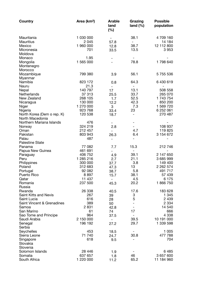| Country                      | Area (km <sup>2</sup> ) | <b>Arable</b><br>land<br>(%) | Grazing<br>land $(\%)$   | <b>Possible</b><br>population |
|------------------------------|-------------------------|------------------------------|--------------------------|-------------------------------|
| Mauritania                   | 1 030 000               |                              | 38.1                     | 4 709 160                     |
| <b>Mauritius</b>             | 2 0 4 5                 | 57.8                         | -                        | 14 184                        |
| Mexico                       | 1 960 000               | 12.8                         | 38.7                     | 12 112 800                    |
| Micronesia                   | 701                     | 33.5                         | 13.5                     | 3953                          |
| Moldova                      |                         |                              |                          |                               |
| Monaco                       | 1.95                    |                              |                          |                               |
| Mongolia                     | 1 565 000               |                              | 78.8                     | 1798 640                      |
| Montenegro                   |                         |                              |                          |                               |
| Morocco                      |                         |                              |                          |                               |
| Mozambique                   | 799 380                 | 3.9                          | 56.1                     | 5 755 536                     |
| Myanmar                      |                         |                              |                          |                               |
| Namibia                      | 823 172                 | 0.8                          | 64.3                     | 6 430 619                     |
| Nauru                        | 21.3                    | $\overline{\phantom{0}}$     | $\overline{\phantom{a}}$ |                               |
| Nepal                        | 140 797                 | 17                           | 13.1                     | 508 558                       |
| <b>Netherlands</b>           | 37 313                  | 25.5                         | 33.7                     | 265 070                       |
| New Zealand                  | 268 105                 | 1.7                          | 52.5                     | 1 743 754                     |
| Nicaragua                    | 130 000                 | 12.2                         | 42.3                     | 850 200                       |
| Niger                        | 1 270 000               | 3                            | 7.3                      | 1 569 720                     |
| Nigeria                      | 923 768                 | 33.4                         | 23                       | 6 252 061                     |
| North Korea (Dem o rep. K)   | 120 538                 | 18.7                         | $\overline{\phantom{a}}$ | 270 487                       |
| North Macedonia              |                         |                              |                          |                               |
| Northern Mariana Islands     | 476                     |                              |                          |                               |
| Norway                       | 324 219                 | 2.8                          |                          | 108 937                       |
| Oman                         | 212 457                 |                              | 4.7                      | 119 825                       |
| Pakistan                     | 803 943                 | 26.3                         | 6.4                      | 3 154 672                     |
| Palau                        | 487                     |                              |                          |                               |
| <b>Palestine State</b>       |                         |                              |                          |                               |
| Panama                       | 77 082                  | 7.7                          | 15.3                     | 212 746                       |
| Papua New Guinea             | 461 691                 | -                            | $\overline{\phantom{a}}$ |                               |
| Paraguay                     | 406 752                 | 4.9                          | 39.1                     | 2 147 650                     |
| Peru                         | 1 285 216               | 2.7                          | 21.1                     | 3 685 999                     |
| Philippines                  | 300 000                 | 37.7                         | 3.8                      | 149 400                       |
| Poland                       | 312 683                 | 47.3                         | 13                       | 2 2 6 2 5 7 4                 |
| Portugal                     | 92 082                  | 38.7                         | 5.8                      | 491 717                       |
| Puerto Rico                  | 8897                    | 15.7                         | 38.1                     | 57 439                        |
| Qatar                        | 11 437                  | $\qquad \qquad -$            | 4.5                      | 6 1 7 5                       |
| Romania                      | 237 500                 | 45.3                         | 20.2                     | 1866750                       |
| Russia                       |                         |                              |                          |                               |
| Rwanda                       | 26 338                  | 40.5                         | 17.6                     | 183 628                       |
| <b>Saint Kitts and Nevis</b> | 267                     | 39                           | 3                        | 1 3 4 5                       |
| Saint Lucia                  | 616                     | 28                           | 5                        | 2 4 3 9                       |
| Saint Vincent & Grenadines   | 389                     | 50                           |                          | 2 3 3 4                       |
| Samoa                        | 2831                    | 42.8                         |                          | 14 540                        |
| San Marino                   | 61                      | 74                           | 17                       | 666                           |
| Sao Tome and Principe        | 964                     | 37.5                         |                          | 4 3 3 8                       |
| Saudi Arabia                 | 2 150 000               | $\qquad \qquad -$            | 39.5                     | 10 191 000                    |
| Senegal                      | 196 192                 | 27.2                         | 29.7                     | 1 339 598                     |
| Serbia                       |                         |                              |                          |                               |
| Seychelles                   | 453                     | 18.5                         |                          | 1 0 0 5                       |
| Sierra Leone                 | 71 740                  | 24.7                         | 30.8                     | 477 788                       |
| Singapore                    | 618                     | 9.5                          |                          | 704                           |
| Slovakia                     |                         |                              |                          |                               |
| Slovenia                     |                         |                              |                          |                               |
| Solomon Islands              | 28 4 4 6                | 1.9                          |                          | 6485                          |
| Somalia                      | 637 657                 | 1.8                          | 46                       | 3 657 600                     |
| South Africa                 | 1 220 000               | 11.2                         | 65.2                     | 11 184 960                    |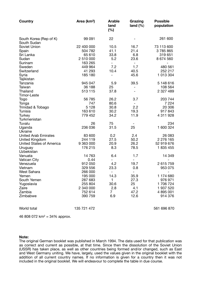| Country                                           | Area (km <sup>2</sup> ) | <b>Arable</b><br>land<br>(%) | Grazing<br>land $(\%)$   | <b>Possible</b><br>population |
|---------------------------------------------------|-------------------------|------------------------------|--------------------------|-------------------------------|
| South Korea (Rep of K)<br>South Sudan             | 99 091                  | 22                           |                          | 261 600                       |
| Soviet Union                                      | 22 400 000              | 10.5                         | 16.7                     | 73 113 600                    |
| Spain                                             | 504 782                 | 41.1                         | 21.4                     | 3785865                       |
| Sri Lanka                                         | 65 610                  | 33.8                         | 6.8                      | 319 651                       |
| Sudan                                             | 2 510 000               | 5.2                          | 23.6                     | 8 674 560                     |
| Surinam                                           | 163 265                 | $\overline{\phantom{0}}$     | $\overline{\phantom{a}}$ |                               |
| Sweden                                            | 449 964                 | 7.2                          | 1.7                      | 480 561                       |
| Switzerland                                       | 41 293                  | 10.4                         | 40.5                     | 252 217                       |
| Syria                                             | 185 180                 | $\qquad \qquad -$            | 45.6                     | 1 013 304                     |
| Tajikistan                                        |                         |                              |                          |                               |
| Tanzania<br>Taiwan                                | 945 047<br>36 188       | 5.9<br>25                    | 39.5                     | 5 148 616<br>108 564          |
| Thailand                                          | 513 115                 | 37.8                         | $\overline{\phantom{a}}$ | 2 327 489                     |
| <b>Timor-Leste</b>                                |                         |                              |                          |                               |
| Togo                                              | 56 785                  | 26.2                         | 3.7                      | 203 744                       |
| Tonga                                             | 747                     | 80.6                         | $\overline{\phantom{a}}$ | 7 2 2 4                       |
| Trinidad & Tobago                                 | 5 1 2 8                 | 30.8                         | 2.2                      | 20 30 6                       |
| Tunisia                                           | 163 610                 | 30.2                         | 19.3                     | 917843                        |
| <b>Turkey</b>                                     | 779 452                 | 34.2                         | 11.9                     | 4 311 928                     |
| Turkmenistan                                      |                         |                              |                          |                               |
| Tuvalu                                            | 26                      | 75                           |                          | 234                           |
| Uganda                                            | 236 036                 | 31.5                         | 25                       | 1 600 324                     |
| Ukraine                                           |                         |                              |                          |                               |
| <b>United Arab Emirates</b>                       | 83 600                  | 0.2                          | 2.4                      | 26 083                        |
| United Kingdom<br><b>United States of America</b> | 244 119<br>9 363 000    | 27.5<br>20.9                 | 50.2<br>26.2             | 2 276 165<br>52 919 676       |
| Uruguay                                           | 176 215                 | 8.3                          | 78.5                     | 1835455                       |
| Uzbekistan                                        |                         |                              |                          |                               |
| Vanuata                                           | 14763                   | 6.4                          | 1.7                      | 14 349                        |
| Vatican City                                      | 0.44                    | $\qquad \qquad -$            |                          |                               |
| Venezuela                                         | 912 050                 | 4.2                          | 19.7                     | 2 615 759                     |
| Vietnam                                           | 329 556                 | 23.3                         | 0.8                      | 953 075                       |
| <b>West Sahara</b>                                | 266 000                 |                              | $\overline{\phantom{m}}$ |                               |
| Yemen                                             | 195 000                 | 14.3                         | 35.9                     | 1 174 680                     |
| South Yemen                                       | 287 683                 | $\mathbf{1}$                 | 27.3                     | 976 971                       |
| Yugoslavia                                        | 255 804                 | 30.6                         | 25                       | 1706724                       |
| Zaire                                             | 2 340 000               | 2.8                          | 4.1                      | 1 937 520                     |
| Zambia                                            | 752 614                 | $7^{\circ}$                  | 47.2                     | 4 895 001                     |
| Zimbabwe                                          | 390 759                 | 6.9                          | 12.6                     | 914 376                       |
| World total                                       | 135 721 472             |                              |                          | 561 696 870                   |

46 808 072 km2 = 34% approx.

#### **Note:**

The original German booklet was published in March 1994. The data used for that publication was as correct and current as possible, at that time. Since then the dissolution of the Soviet Union (USSR) has taken place, as well as other countries being formed and/or changed, such as East and West Germany uniting. We have, largely, used the values given in the original booklet with the addition of all current country names. If no information is given for a country then it was not included in the original booklet. We will endeavour to complete the table in due course.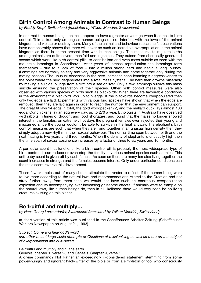# **Birth Control Among Animals in Contrast to Human Beings**

*by Freddy Kropf, Switzerland (translated by Willem Mondria, Switzerland)* 

In contrast to human beings, animals appear to have a greater advantage when it comes to birth control. This is true only as long as human beings do not interfere with the laws of the animal kingdom and violate or destroy them. Many of the animal and behaviour researcher's observations have demonstrably shown that there will never be such an incredible overpopulation in the animal kingdom as there is at the present time with human beings. The measures to regulate births among animals are quite severe, manifold and ingenious. They extend from chemically generated scents which work like birth control pills, to cannibalism and even mass suicide as seen with the mountain lemmings in Scandinavia. After years of intense reproduction the lemmings form themselves – due to a lack of food – into a million strong herd and begin a long journey. (Lemmings are normally solitary and very aggressive animals and come together only during the mating season.) The unusual closeness in the herd increases each lemming's aggressiveness to the point where the herd degenerates into a total mass hysteria. The herd then drowns miserably by making a suicidal plunge from a cliff into a sea or river. Only a few lemmings survive this mass suicide ensuring the preservation of their species. Other birth control measures were also observed with various species of birds such as blackbirds: When there are favourable conditions in the environment a blackbird lays up to 5 eggs. If the blackbirds become overpopulated then only two eggs are laid. Experiments with various bird species have shown that when the eggs are removed, then they are laid again in order to reach the number that the environment can support. The great tit lays 14 eggs in total, the gold woodpecker 72, and the mallard duck lays almost 100 eggs. Our chickens lay an egg every day, up to 270 a year. Ethologists in Australia have observed wild rabbits in times of drought and food shortages, and found that the males no longer showed interest in the females; on extremely hot days the pregnant females even rejected their young and miscarried since the young wouldn't be able to survive in the heat anyway. The elephant's birth control measures are such that when they are living together in an unusual high density then they simply adopt a new rhythm in their sexual behaviour. The normal time span between birth and the next mating is two years and three months. When the density of elephants is unusually high then the time span of sexual abstinence increases by a factor of three to six years and 10 months.

A particular scent that functions like a birth control pill is probably the most widespread type of birth control. It can reduce or even stop the fertility in various animal species such as mice. This anti-baby scent is given off by each female. As soon as there are many females living together the scent increases in strength and the females become infertile. Only under particular conditions can the male scent reverse this development.

These few examples out of many should stimulate the reader to reflect. If the human being were to live more according to the natural laws and recommendations related to the Creation and not stray further away from them then we would not have such an enormous overpopulation explosion and its accompanying ever increasing gruesome effects. If animals were to trample on the natural laws, like human beings do, then in all likelihood there would very soon be no living creatures existing on this planet.

# **Be fruitful and multiply…**

*by Hans Georg Lanzendorfer, Switzerland (translated by Willem Mondria, Switzerland)* 

(a short version of this article was published in the Schaffhauser Arbeiter Zeitung (Schaffhauser Workers Newspaper) on August 21, 1993)

*Subject: Come and hear god's word...* 

*and other recent large-scale attempts of Christians at missionising as well as more on the subject of overpopulation and cult-beliefs* 

Be fruitful and multiply and fill the earth

Genesis, chapter 1, verse 28 and Genesis, Chapter 9, verse 1.

A divine command? No! Rather an exceedingly ill-considered statement stemming from some power-hungry and ignorant hack-writer of the bible or from a simpleton or fool who consciously